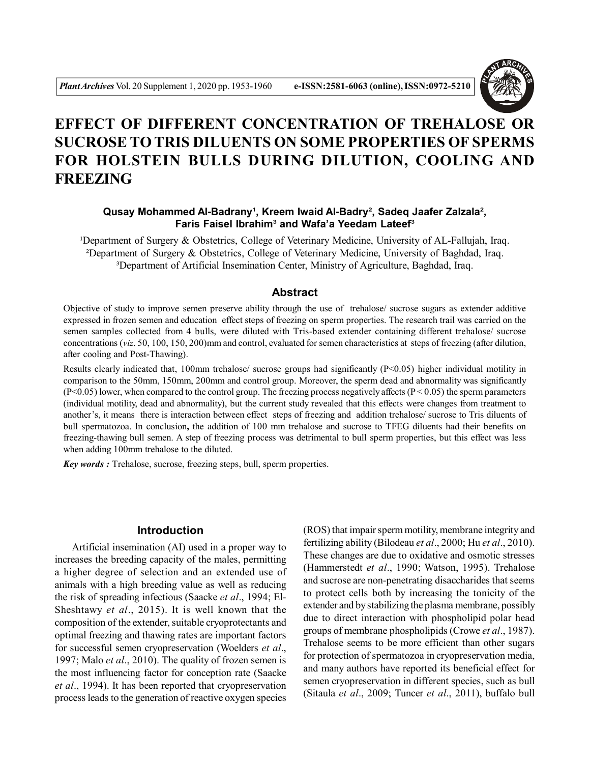

# **EFFECT OF DIFFERENT CONCENTRATION OF TREHALOSE OR SUCROSE TO TRIS DILUENTS ON SOME PROPERTIES OF SPERMS FOR HOLSTEIN BULLS DURING DILUTION, COOLING AND FREEZING**

## Qusay Mohammed Al-Badrany<sup>1</sup>, Kreem Iwaid Al-Badry<sup>2</sup>, Sadeq Jaafer Zalzala<sup>2</sup>, **Faris Faisel Ibrahim**³ **and Wafa'a Yeedam Lateef**³

<sup>1</sup>Department of Surgery & Obstetrics, College of Veterinary Medicine, University of AL-Fallujah, Iraq. ²Department of Surgery & Obstetrics, College of Veterinary Medicine, University of Baghdad, Iraq. <sup>3</sup>Department of Artificial Insemination Center, Ministry of Agriculture, Baghdad, Iraq.

## **Abstract**

Objective of study to improve semen preserve ability through the use of trehalose/ sucrose sugars as extender additive expressed in frozen semen and education effect steps of freezing on sperm properties. The research trail was carried on the semen samples collected from 4 bulls, were diluted with Tris-based extender containing different trehalose/ sucrose concentrations (*viz*. 50, 100, 150, 200)mm and control, evaluated for semen characteristics at steps of freezing (after dilution, after cooling and Post-Thawing).

Results clearly indicated that, 100mm trehalose/ sucrose groups had significantly (P<0.05) higher individual motility in comparison to the 50mm, 150mm, 200mm and control group. Moreover, the sperm dead and abnormality was significantly  $(P<0.05)$  lower, when compared to the control group. The freezing process negatively affects  $(P<0.05)$  the sperm parameters (individual motility, dead and abnormality), but the current study revealed that this effects were changes from treatment to another's, it means there is interaction between effect steps of freezing and addition trehalose/ sucrose to Tris diluents of bull spermatozoa. In conclusion**,** the addition of 100 mm trehalose and sucrose to TFEG diluents had their benefits on freezing-thawing bull semen. A step of freezing process was detrimental to bull sperm properties, but this effect was less when adding 100mm trehalose to the diluted.

*Key words :* Trehalose, sucrose, freezing steps, bull, sperm properties.

## **Introduction**

Artificial insemination (AI) used in a proper way to increases the breeding capacity of the males, permitting a higher degree of selection and an extended use of animals with a high breeding value as well as reducing the risk of spreading infectious (Saacke *et al*., 1994; El-Sheshtawy *et al*., 2015). It is well known that the composition of the extender, suitable cryoprotectants and optimal freezing and thawing rates are important factors for successful semen cryopreservation (Woelders *et al*., 1997; Malo *et al*., 2010). The quality of frozen semen is the most influencing factor for conception rate (Saacke *et al*., 1994). It has been reported that cryopreservation process leads to the generation of reactive oxygen species

(ROS) that impair sperm motility, membrane integrity and fertilizing ability (Bilodeau *et al*., 2000; Hu *et al*., 2010). These changes are due to oxidative and osmotic stresses (Hammerstedt *et al*., 1990; Watson, 1995). Trehalose and sucrose are non-penetrating disaccharides that seems to protect cells both by increasing the tonicity of the extender and by stabilizing the plasma membrane, possibly due to direct interaction with phospholipid polar head groups of membrane phospholipids (Crowe *et al*., 1987). Trehalose seems to be more efficient than other sugars for protection of spermatozoa in cryopreservation media, and many authors have reported its beneficial effect for semen cryopreservation in different species, such as bull (Sitaula *et al*., 2009; Tuncer *et al*., 2011), buffalo bull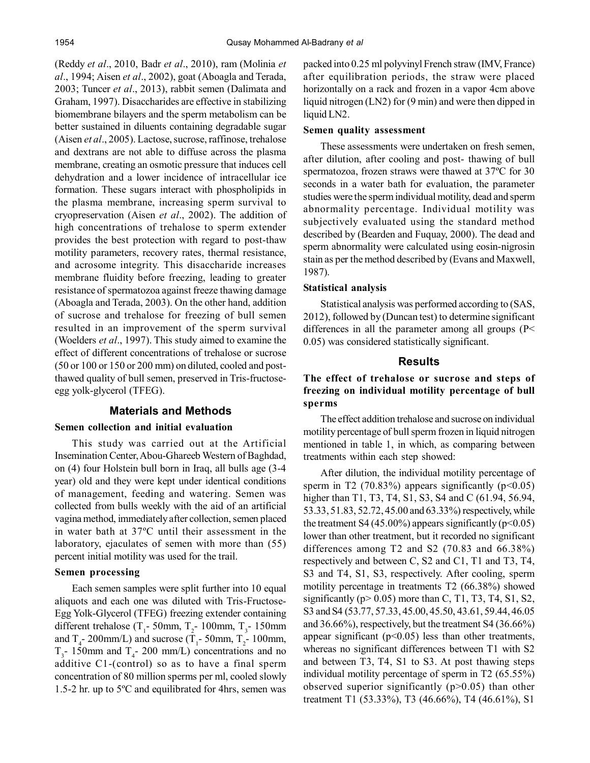(Reddy *et al*., 2010, Badr *et al*., 2010), ram (Molinia *et al*., 1994; Aisen *et al*., 2002), goat (Aboagla and Terada, 2003; Tuncer *et al*., 2013), rabbit semen (Dalimata and Graham, 1997). Disaccharides are effective in stabilizing biomembrane bilayers and the sperm metabolism can be better sustained in diluents containing degradable sugar (Aisen *et al*., 2005). Lactose, sucrose, raffinose, trehalose and dextrans are not able to diffuse across the plasma membrane, creating an osmotic pressure that induces cell dehydration and a lower incidence of intracellular ice formation. These sugars interact with phospholipids in the plasma membrane, increasing sperm survival to cryopreservation (Aisen *et al*., 2002). The addition of high concentrations of trehalose to sperm extender provides the best protection with regard to post-thaw motility parameters, recovery rates, thermal resistance, and acrosome integrity. This disaccharide increases membrane fluidity before freezing, leading to greater resistance of spermatozoa against freeze thawing damage (Aboagla and Terada, 2003). On the other hand, addition of sucrose and trehalose for freezing of bull semen resulted in an improvement of the sperm survival (Woelders *et al*., 1997). This study aimed to examine the effect of different concentrations of trehalose or sucrose (50 or 100 or 150 or 200 mm) on diluted, cooled and postthawed quality of bull semen, preserved in Tris-fructoseegg yolk-glycerol (TFEG).

## **Materials and Methods**

## **Semen collection and initial evaluation**

This study was carried out at the Artificial Insemination Center, Abou-Ghareeb Western of Baghdad, on (4) four Holstein bull born in Iraq, all bulls age (3-4 year) old and they were kept under identical conditions of management, feeding and watering. Semen was collected from bulls weekly with the aid of an artificial vagina method, immediately after collection, semen placed in water bath at 37ºC until their assessment in the laboratory, ejaculates of semen with more than (55) percent initial motility was used for the trail.

#### **Semen processing**

Each semen samples were split further into 10 equal aliquots and each one was diluted with Tris-Fructose-Egg Yolk-Glycerol (TFEG) freezing extender containing different trehalose ( $T_1$ - 50mm,  $T_2$ - 100mm,  $T_3$ - 150mm and  $T_4$ - 200mm/L) and sucrose ( $T_1$ - 50mm,  $T_2$ - 100mm,  $T_3$ - 150mm and  $T_4$ - 200 mm/L) concentrations and no additive C1-(control) so as to have a final sperm concentration of 80 million sperms per ml, cooled slowly 1.5-2 hr. up to 5ºC and equilibrated for 4hrs, semen was packed into 0.25 ml polyvinyl French straw (IMV, France) after equilibration periods, the straw were placed horizontally on a rack and frozen in a vapor 4cm above liquid nitrogen (LN2) for (9 min) and were then dipped in liquid LN2.

#### **Semen quality assessment**

These assessments were undertaken on fresh semen, after dilution, after cooling and post- thawing of bull spermatozoa, frozen straws were thawed at 37ºC for 30 seconds in a water bath for evaluation, the parameter studies were the sperm individual motility, dead and sperm abnormality percentage. Individual motility was subjectively evaluated using the standard method described by (Bearden and Fuquay, 2000). The dead and sperm abnormality were calculated using eosin-nigrosin stain as per the method described by (Evans and Maxwell, 1987).

#### **Statistical analysis**

Statistical analysis was performed according to (SAS, 2012), followed by (Duncan test) to determine significant differences in all the parameter among all groups (P< 0.05) was considered statistically significant.

#### **Results**

# **The effect of trehalose or sucrose and steps of freezing on individual motility percentage of bull sperms**

The effect addition trehalose and sucrose on individual motility percentage of bull sperm frozen in liquid nitrogen mentioned in table 1, in which, as comparing between treatments within each step showed:

After dilution, the individual motility percentage of sperm in T2 (70.83%) appears significantly ( $p<0.05$ ) higher than T1, T3, T4, S1, S3, S4 and C (61.94, 56.94, 53.33, 51.83, 52.72, 45.00 and 63.33%) respectively, while the treatment S4 (45.00%) appears significantly ( $p<0.05$ ) lower than other treatment, but it recorded no significant differences among T2 and S2 (70.83 and 66.38%) respectively and between C, S2 and C1, T1 and T3, T4, S3 and T4, S1, S3, respectively. After cooling, sperm motility percentage in treatments T2 (66.38%) showed significantly ( $p > 0.05$ ) more than C, T1, T3, T4, S1, S2, S3 and S4 (53.77, 57.33, 45.00, 45.50, 43.61, 59.44, 46.05 and 36.66%), respectively, but the treatment S4 (36.66%) appear significant ( $p<0.05$ ) less than other treatments, whereas no significant differences between T1 with S2 and between T3, T4, S1 to S3. At post thawing steps individual motility percentage of sperm in T2 (65.55%) observed superior significantly  $(p>0.05)$  than other treatment T1 (53.33%), T3 (46.66%), T4 (46.61%), S1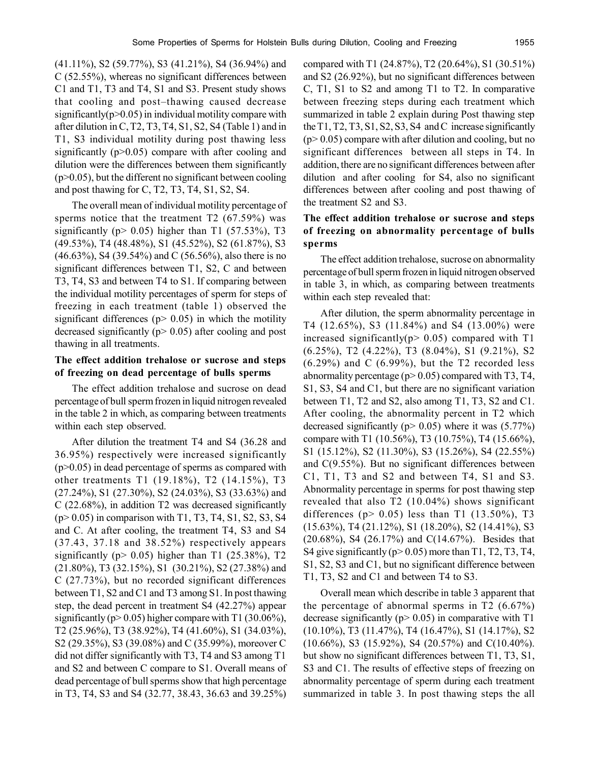(41.11%), S2 (59.77%), S3 (41.21%), S4 (36.94%) and C (52.55%), whereas no significant differences between C1 and T1, T3 and T4, S1 and S3. Present study shows that cooling and post–thawing caused decrease significantly( $p>0.05$ ) in individual motility compare with after dilution in C, T2, T3, T4, S1, S2, S4 (Table 1) and in T1, S3 individual motility during post thawing less significantly  $(p>0.05)$  compare with after cooling and dilution were the differences between them significantly  $(p>0.05)$ , but the different no significant between cooling and post thawing for C, T2, T3, T4, S1, S2, S4.

The overall mean of individual motility percentage of sperms notice that the treatment T2 (67.59%) was significantly ( $p > 0.05$ ) higher than T1 (57.53%), T3 (49.53%), T4 (48.48%), S1 (45.52%), S2 (61.87%), S3 (46.63%), S4 (39.54%) and C (56.56%), also there is no significant differences between T1, S2, C and between T3, T4, S3 and between T4 to S1. If comparing between the individual motility percentages of sperm for steps of freezing in each treatment (table 1) observed the significant differences ( $p$  > 0.05) in which the motility decreased significantly ( $p$  > 0.05) after cooling and post thawing in all treatments.

## **The effect addition trehalose or sucrose and steps of freezing on dead percentage of bulls sperms**

The effect addition trehalose and sucrose on dead percentage of bull sperm frozen in liquid nitrogen revealed in the table 2 in which, as comparing between treatments within each step observed.

After dilution the treatment T4 and S4 (36.28 and 36.95%) respectively were increased significantly  $(p>0.05)$  in dead percentage of sperms as compared with other treatments T1 (19.18%), T2 (14.15%), T3 (27.24%), S1 (27.30%), S2 (24.03%), S3 (33.63%) and C (22.68%), in addition T2 was decreased significantly  $(p > 0.05)$  in comparison with T1, T3, T4, S1, S2, S3, S4 and C. At after cooling, the treatment T4, S3 and S4 (37.43, 37.18 and 38.52%) respectively appears significantly ( $p$  > 0.05) higher than T1 (25.38%), T2 (21.80%), T3 (32.15%), S1 (30.21%), S2 (27.38%) and C (27.73%), but no recorded significant differences between T1, S2 and C1 and T3 among S1. In post thawing step, the dead percent in treatment S4 (42.27%) appear significantly ( $p > 0.05$ ) higher compare with T1 (30.06%), T2 (25.96%), T3 (38.92%), T4 (41.60%), S1 (34.03%), S2 (29.35%), S3 (39.08%) and C (35.99%), moreover C did not differ significantly with T3, T4 and S3 among T1 and S2 and between C compare to S1. Overall means of dead percentage of bull sperms show that high percentage in T3, T4, S3 and S4 (32.77, 38.43, 36.63 and 39.25%) compared with T1 (24.87%), T2 (20.64%), S1 (30.51%) and S2 (26.92%), but no significant differences between C, T1, S1 to S2 and among T1 to T2. In comparative between freezing steps during each treatment which summarized in table 2 explain during Post thawing step the T1, T2, T3, S1, S2, S3, S4 and C increase significantly  $(p>0.05)$  compare with after dilution and cooling, but no significant differences between all steps in T4. In addition, there are no significant differences between after dilution and after cooling for S4, also no significant differences between after cooling and post thawing of the treatment S2 and S3.

## **The effect addition trehalose or sucrose and steps of freezing on abnormality percentage of bulls sperms**

The effect addition trehalose, sucrose on abnormality percentage of bull sperm frozen in liquid nitrogen observed in table 3, in which, as comparing between treatments within each step revealed that:

After dilution, the sperm abnormality percentage in T4 (12.65%), S3 (11.84%) and S4 (13.00%) were increased significantly( $p$  > 0.05) compared with T1 (6.25%), T2 (4.22%), T3 (8.04%), S1 (9.21%), S2  $(6.29\%)$  and C  $(6.99\%)$ , but the T2 recorded less abnormality percentage ( $p$  > 0.05) compared with T3, T4, S1, S3, S4 and C1, but there are no significant variation between T1, T2 and S2, also among T1, T3, S2 and C1. After cooling, the abnormality percent in T2 which decreased significantly ( $p$  > 0.05) where it was (5.77%) compare with T1 (10.56%), T3 (10.75%), T4 (15.66%), S1 (15.12%), S2 (11.30%), S3 (15.26%), S4 (22.55%) and C(9.55%). But no significant differences between C1, T1, T3 and S2 and between T4, S1 and S3. Abnormality percentage in sperms for post thawing step revealed that also T2 (10.04%) shows significant differences ( $p > 0.05$ ) less than T1 (13.50%), T3 (15.63%), T4 (21.12%), S1 (18.20%), S2 (14.41%), S3 (20.68%), S4 (26.17%) and C(14.67%). Besides that S4 give significantly ( $p > 0.05$ ) more than T1, T2, T3, T4, S1, S2, S3 and C1, but no significant difference between T1, T3, S2 and C1 and between T4 to S3.

Overall mean which describe in table 3 apparent that the percentage of abnormal sperms in  $T2$  (6.67%) decrease significantly ( $p$  > 0.05) in comparative with T1 (10.10%), T3 (11.47%), T4 (16.47%), S1 (14.17%), S2 (10.66%), S3 (15.92%), S4 (20.57%) and C(10.40%). but show no significant differences between T1, T3, S1, S3 and C1. The results of effective steps of freezing on abnormality percentage of sperm during each treatment summarized in table 3. In post thawing steps the all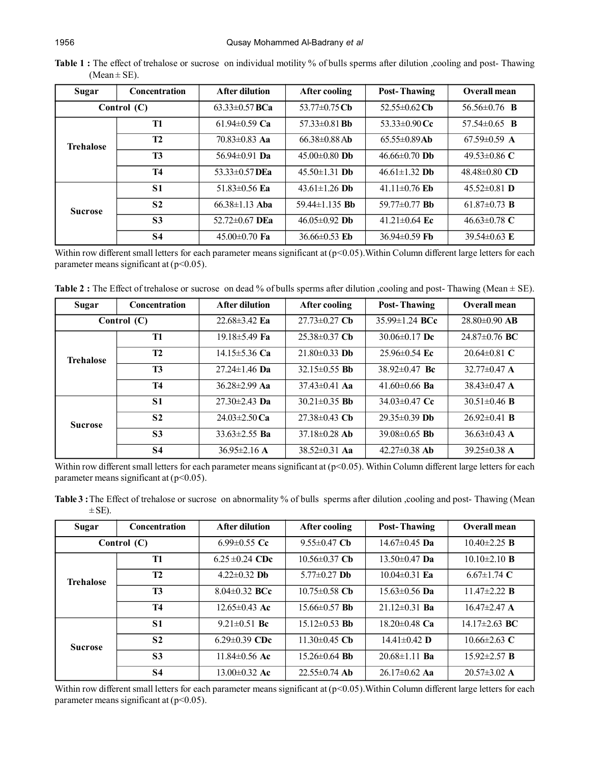| Sugar            | <b>Concentration</b> | <b>After dilution</b> | After cooling        | <b>Post-Thawing</b> | Overall mean              |
|------------------|----------------------|-----------------------|----------------------|---------------------|---------------------------|
| Control $(C)$    |                      | $63.33\pm0.57$ BCa    | 53.77 $\pm$ 0.75 Cb  | 52.55 $\pm$ 0.62 Cb | 56.56 $\pm$ 0.76 <b>B</b> |
| <b>Trehalose</b> | <b>T1</b>            | 61.94 $\pm$ 0.59 Ca   | $57.33\pm0.81$ Bb    | 53.33 $\pm$ 0.90 Cc | 57.54 $\pm$ 0.65 <b>B</b> |
|                  | <b>T2</b>            | $70.83 \pm 0.83$ Aa   | $66.38\pm0.88$ Ab    | $65.55 \pm 0.89$ Ab | $67.59\pm0.59$ A          |
|                  | <b>T3</b>            | 56.94 $\pm$ 0.91 Da   | $45.00\pm0.80$ Db    | $46.66 \pm 0.70$ Db | 49.53 $\pm$ 0.86 C        |
|                  | T4                   | 53.33 $\pm$ 0.57 DEa  | $45.50 \pm 1.31$ Db  | $46.61 \pm 1.32$ Db | $48.48\pm0.80$ CD         |
| <b>Sucrose</b>   | <b>S1</b>            | 51.83 $\pm$ 0.56 Ea   | $43.61 \pm 1.26$ Db  | 41.11 $\pm$ 0.76 Eb | $45.52\pm0.81$ D          |
|                  | S <sub>2</sub>       | $66.38 \pm 1.13$ Aba  | 59.44 $\pm$ 1.135 Bb | 59.77 $\pm$ 0.77 Bb | 61.87 $\pm$ 0.73 <b>B</b> |
|                  | S <sub>3</sub>       | $52.72 \pm 0.67$ DEa  | $46.05 \pm 0.92$ Db  | 41.21 $\pm$ 0.64 Ec | 46.63 $\pm$ 0.78 C        |
|                  | <b>S4</b>            | $45.00\pm0.70$ Fa     | 36.66 $\pm$ 0.53 Eb  | $36.94\pm0.59$ Fb   | 39.54 $\pm$ 0.63 E        |

Table 1 : The effect of trehalose or sucrose on individual motility % of bulls sperms after dilution ,cooling and post- Thawing  $(Mean \pm SE)$ .

Within row different small letters for each parameter means significant at (p<0.05). Within Column different large letters for each parameter means significant at  $(p<0.05)$ .

**Table 2** : The Effect of trehalose or sucrose on dead % of bulls sperms after dilution ,cooling and post- Thawing (Mean  $\pm$  SE).

| Sugar            | <b>Concentration</b> | <b>After dilution</b> | After cooling       | <b>Post-Thawing</b>  | Overall mean       |
|------------------|----------------------|-----------------------|---------------------|----------------------|--------------------|
| Control $(C)$    |                      | $22.68 \pm 3.42$ Ea   | $27.73 \pm 0.27$ Cb | $35.99 \pm 1.24$ BCc | $28.80\pm0.90$ AB  |
| <b>Trehalose</b> | T1                   | $19.18 \pm 5.49$ Fa   | $25.38\pm0.37$ Cb   | 30.06 $\pm$ 0.17 Dc  | $24.87\pm0.76$ BC  |
|                  | <b>T2</b>            | 14.15 $\pm$ 5.36 Ca   | $21.80 \pm 0.33$ Db | $25.96\pm0.54$ Ec    | $20.64\pm0.81$ C   |
|                  | <b>T3</b>            | $27.24 \pm 1.46$ Da   | $32.15 \pm 0.55$ Bb | $38.92\pm0.47$ Bc    | $32.77\pm0.47$ A   |
|                  | <b>T4</b>            | $36.28 \pm 2.99$ Aa   | $37.43 \pm 0.41$ Aa | 41.60 $\pm$ 0.66 Ba  | $38.43\pm 0.47$ A  |
| <b>Sucrose</b>   | <b>S1</b>            | $27.30 \pm 2.43$ Da   | $30.21 \pm 0.35$ Bb | 34.03 $\pm$ 0.47 Cc  | $30.51 \pm 0.46$ B |
|                  | S <sub>2</sub>       | $24.03 \pm 2.50$ Ca   | $27.38\pm0.43$ Cb   | $29.35\pm0.39$ Db    | $26.92\pm0.41$ B   |
|                  | <b>S3</b>            | $33.63 \pm 2.55$ Ba   | $37.18 \pm 0.28$ Ab | $39.08\pm0.65$ Bb    | $36.63\pm0.43$ A   |
|                  | S <sub>4</sub>       | $36.95 \pm 2.16$ A    | $38.52 \pm 0.31$ Aa | $42.27\pm0.38$ Ab    | $39.25\pm0.38$ A   |

Within row different small letters for each parameter means significant at (p<0.05). Within Column different large letters for each parameter means significant at  $(p<0.05)$ .

**Table 3**: The Effect of trehalose or sucrose on abnormality % of bulls sperms after dilution , cooling and post- Thawing (Mean  $\pm$  SE).

| Sugar            | Concentration  | <b>After dilution</b> | After cooling       | <b>Post-Thawing</b> | Overall mean       |
|------------------|----------------|-----------------------|---------------------|---------------------|--------------------|
| Control $(C)$    |                | 6.99 $\pm$ 0.55 Cc    | $9.55 \pm 0.47$ Ch  | $14.67 \pm 0.45$ Da | $10.40 \pm 2.25$ B |
| <b>Trehalose</b> | <b>T1</b>      | $6.25 \pm 0.24$ CDc   | $10.56 \pm 0.37$ Cb | $13.50 \pm 0.47$ Da | $10.10\pm2.10$ B   |
|                  | <b>T2</b>      | $4.22 \pm 0.32$ Db    | $5.77\pm0.27$ Db    | $10.04\pm0.31$ Ea   | $6.67 \pm 1.74$ C  |
|                  | <b>T3</b>      | $8.04\pm0.32$ BCc     | $10.75 \pm 0.58$ Cb | $15.63 \pm 0.56$ Da | $11.47\pm2.22$ B   |
|                  | <b>T4</b>      | $12.65 \pm 0.43$ Ac   | $15.66 \pm 0.57$ Bb | $21.12\pm0.31$ Ba   | $16.47 \pm 2.47$ A |
| <b>Sucrose</b>   | <b>S1</b>      | $9.21 \pm 0.51$ Bc    | $15.12 \pm 0.53$ Bb | $18.20 \pm 0.48$ Ca | $14.17\pm2.63$ BC  |
|                  | S <sub>2</sub> | 6.29 $\pm$ 0.39 CDc   | $11.30\pm0.45$ Cb   | $14.41 \pm 0.42$ D  | $10.66\pm2.63$ C   |
|                  | <b>S3</b>      | 11.84 $\pm$ 0.56 Ac   | $15.26 \pm 0.64$ Bb | $20.68 \pm 1.11$ Ba | $15.92 \pm 2.57$ B |
|                  | <b>S4</b>      | $13.00\pm0.32$ Ac     | $22.55\pm 0.74$ Ab  | $26.17\pm0.62$ Aa   | $20.57\pm3.02$ A   |

Within row different small letters for each parameter means significant at (p<0.05). Within Column different large letters for each parameter means significant at  $(p<0.05)$ .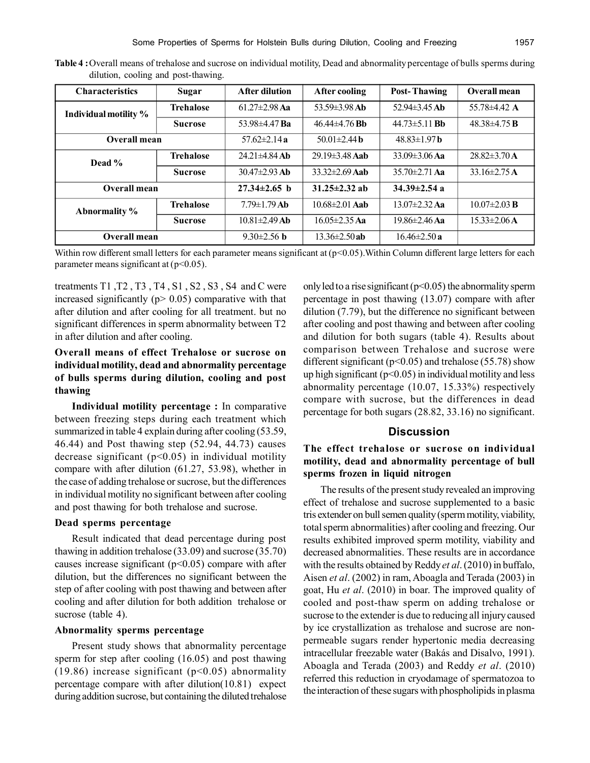| <b>Characteristics</b> | <b>Sugar</b>     | <b>After dilution</b> | After cooling             | <b>Post-Thawing</b> | Overall mean       |
|------------------------|------------------|-----------------------|---------------------------|---------------------|--------------------|
| Individual motility %  | <b>Trehalose</b> | $61.27 \pm 2.98$ Aa   | $53.59\pm3.98$ Ab         | 52.94 $\pm$ 3.45 Ab | 55.78 $\pm$ 4.42 A |
|                        | <b>Sucrose</b>   | 53.98 $\pm$ 4.47 Ba   | $46.44\pm4.76$ Bb         | $44.73 \pm 5.11$ Bb | $48.38\pm4.75$ B   |
| Overall mean           |                  | 57.62 $\pm$ 2.14 a    | 50.01 $\pm$ 2.44 <b>b</b> | $48.83 \pm 1.97$ b  |                    |
| Dead %                 | <b>Trehalose</b> | $24.21 \pm 4.84$ Ab   | $2919\pm 348$ Ash         | $33.09 \pm 3.06$ Aa | $28.82\pm3.70$ A   |
|                        | <b>Sucrose</b>   | $30.47\pm2.93$ Ab     | $33.32 \pm 2.69$ Aab      | $35.70 \pm 2.71$ Aa | $33.16\pm2.75$ A   |
| Overall mean           |                  | $27.34 \pm 2.65$ h    | $31.25 \pm 2.32$ ab       | $34.39 \pm 2.54$ a  |                    |
| Abnormality %          | <b>Trehalose</b> | $7.79 \pm 1.79$ Ab    | $10.68 \pm 2.01$ Aab      | $13.07 \pm 2.32$ Aa | $10.07 \pm 2.03$ B |
|                        | <b>Sucrose</b>   | $10.81 \pm 2.49$ Ab   | $16.05 \pm 2.35$ Aa       | $19.86 \pm 2.46$ Aa | $15.33 \pm 2.06$ A |
| Overall mean           |                  | $9.30 \pm 2.56$ h     | $13.36 \pm 2.50$ ab       | $16.46 \pm 2.50 a$  |                    |

**Table 4 :**Overall means of trehalose and sucrose on individual motility, Dead and abnormality percentage of bulls sperms during dilution, cooling and post-thawing.

Within row different small letters for each parameter means significant at (p<0.05). Within Column different large letters for each parameter means significant at  $(p<0.05)$ .

treatments T1 ,T2 , T3 , T4 , S1 , S2 , S3 , S4 and C were increased significantly ( $p$  > 0.05) comparative with that after dilution and after cooling for all treatment. but no significant differences in sperm abnormality between T2 in after dilution and after cooling.

# **Overall means of effect Trehalose or sucrose on individual motility, dead and abnormality percentage of bulls sperms during dilution, cooling and post thawing**

**Individual motility percentage :** In comparative between freezing steps during each treatment which summarized in table 4 explain during after cooling (53.59, 46.44) and Post thawing step (52.94, 44.73) causes decrease significant  $(p<0.05)$  in individual motility compare with after dilution (61.27, 53.98), whether in the case of adding trehalose or sucrose, but the differences in individual motility no significant between after cooling and post thawing for both trehalose and sucrose.

## **Dead sperms percentage**

Result indicated that dead percentage during post thawing in addition trehalose (33.09) and sucrose (35.70) causes increase significant ( $p$ <0.05) compare with after dilution, but the differences no significant between the step of after cooling with post thawing and between after cooling and after dilution for both addition trehalose or sucrose (table 4).

#### **Abnormality sperms percentage**

Present study shows that abnormality percentage sperm for step after cooling (16.05) and post thawing (19.86) increase significant ( $p<0.05$ ) abnormality percentage compare with after dilution(10.81) expect during addition sucrose, but containing the diluted trehalose

only led to a rise significant ( $p<0.05$ ) the abnormality sperm percentage in post thawing (13.07) compare with after dilution (7.79), but the difference no significant between after cooling and post thawing and between after cooling and dilution for both sugars (table 4). Results about comparison between Trehalose and sucrose were different significant ( $p<0.05$ ) and trehalose (55.78) show up high significant ( $p<0.05$ ) in individual motility and less abnormality percentage (10.07, 15.33%) respectively compare with sucrose, but the differences in dead percentage for both sugars (28.82, 33.16) no significant.

## **Discussion**

# **The effect trehalose or sucrose on individual motility, dead and abnormality percentage of bull sperms frozen in liquid nitrogen**

The results of the present study revealed an improving effect of trehalose and sucrose supplemented to a basic tris extender on bull semen quality (sperm motility, viability, total sperm abnormalities) after cooling and freezing. Our results exhibited improved sperm motility, viability and decreased abnormalities. These results are in accordance with the results obtained by Reddy *et al*. (2010) in buffalo, Aisen *et al*. (2002) in ram, Aboagla and Terada (2003) in goat, Hu *et al*. (2010) in boar. The improved quality of cooled and post-thaw sperm on adding trehalose or sucrose to the extender is due to reducing all injury caused by ice crystallization as trehalose and sucrose are nonpermeable sugars render hypertonic media decreasing intracellular freezable water (Bakás and Disalvo, 1991). Aboagla and Terada (2003) and Reddy *et al*. (2010) referred this reduction in cryodamage of spermatozoa to the interaction of these sugars with phospholipids in plasma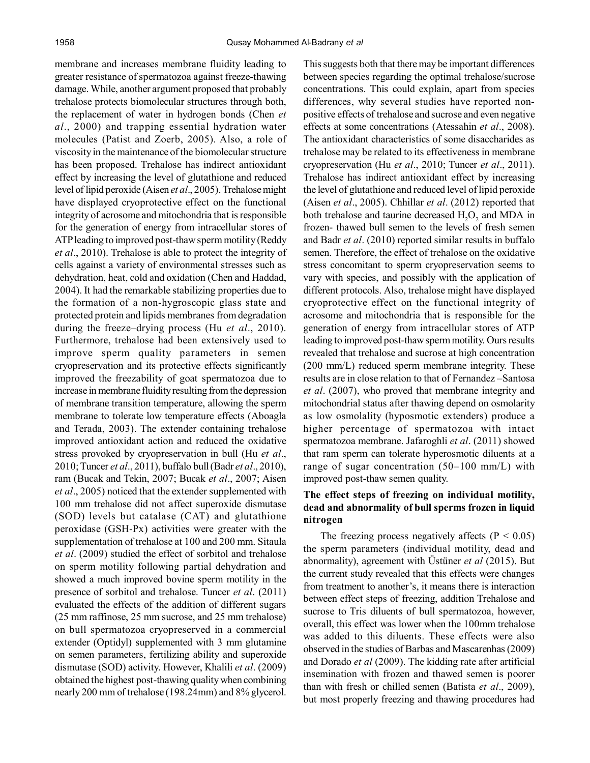membrane and increases membrane fluidity leading to greater resistance of spermatozoa against freeze-thawing damage. While, another argument proposed that probably trehalose protects biomolecular structures through both, the replacement of water in hydrogen bonds (Chen *et al*., 2000) and trapping essential hydration water molecules (Patist and Zoerb, 2005). Also, a role of viscosity in the maintenance of the biomolecular structure has been proposed. Trehalose has indirect antioxidant effect by increasing the level of glutathione and reduced level of lipid peroxide (Aisen *et al*., 2005). Trehalose might have displayed cryoprotective effect on the functional integrity of acrosome and mitochondria that is responsible for the generation of energy from intracellular stores of ATP leading to improved post-thaw sperm motility (Reddy *et al*., 2010). Trehalose is able to protect the integrity of cells against a variety of environmental stresses such as dehydration, heat, cold and oxidation (Chen and Haddad, 2004). It had the remarkable stabilizing properties due to the formation of a non-hygroscopic glass state and protected protein and lipids membranes from degradation during the freeze–drying process (Hu *et al*., 2010). Furthermore, trehalose had been extensively used to improve sperm quality parameters in semen cryopreservation and its protective effects significantly improved the freezability of goat spermatozoa due to increase in membrane fluidity resulting from the depression of membrane transition temperature, allowing the sperm membrane to tolerate low temperature effects (Aboagla and Terada, 2003). The extender containing trehalose improved antioxidant action and reduced the oxidative stress provoked by cryopreservation in bull (Hu *et al*., 2010; Tuncer *et al*., 2011), buffalo bull (Badr *et al*., 2010), ram (Bucak and Tekin, 2007; Bucak *et al*., 2007; Aisen *et al*., 2005) noticed that the extender supplemented with 100 mm trehalose did not affect superoxide dismutase (SOD) levels but catalase (CAT) and glutathione peroxidase (GSH-Px) activities were greater with the supplementation of trehalose at 100 and 200 mm. Sitaula *et al*. (2009) studied the effect of sorbitol and trehalose on sperm motility following partial dehydration and showed a much improved bovine sperm motility in the presence of sorbitol and trehalose. Tuncer *et al*. (2011) evaluated the effects of the addition of different sugars (25 mm raffinose, 25 mm sucrose, and 25 mm trehalose) on bull spermatozoa cryopreserved in a commercial extender (Optidyl) supplemented with 3 mm glutamine on semen parameters, fertilizing ability and superoxide dismutase (SOD) activity. However, Khalili *et al*. (2009) obtained the highest post-thawing quality when combining nearly 200 mm of trehalose (198.24mm) and 8% glycerol.

This suggests both that there may be important differences between species regarding the optimal trehalose/sucrose concentrations. This could explain, apart from species differences, why several studies have reported nonpositive effects of trehalose and sucrose and even negative effects at some concentrations (Atessahin *et al*., 2008). The antioxidant characteristics of some disaccharides as trehalose may be related to its effectiveness in membrane cryopreservation (Hu *et al*., 2010; Tuncer *et al*., 2011). Trehalose has indirect antioxidant effect by increasing the level of glutathione and reduced level of lipid peroxide (Aisen *et al*., 2005). Chhillar *et al*. (2012) reported that both trehalose and taurine decreased  $H_2O_2$  and MDA in frozen- thawed bull semen to the levels of fresh semen and Badr *et al*. (2010) reported similar results in buffalo semen. Therefore, the effect of trehalose on the oxidative stress concomitant to sperm cryopreservation seems to vary with species, and possibly with the application of different protocols. Also, trehalose might have displayed cryoprotective effect on the functional integrity of acrosome and mitochondria that is responsible for the generation of energy from intracellular stores of ATP leading to improved post-thaw sperm motility. Ours results revealed that trehalose and sucrose at high concentration (200 mm/L) reduced sperm membrane integrity. These results are in close relation to that of Fernandez –Santosa *et al*. (2007), who proved that membrane integrity and mitochondrial status after thawing depend on osmolarity as low osmolality (hyposmotic extenders) produce a higher percentage of spermatozoa with intact spermatozoa membrane. Jafaroghli *et al*. (2011) showed that ram sperm can tolerate hyperosmotic diluents at a range of sugar concentration (50–100 mm/L) with improved post-thaw semen quality.

## **The effect steps of freezing on individual motility, dead and abnormality of bull sperms frozen in liquid nitrogen**

The freezing process negatively affects ( $P < 0.05$ ) the sperm parameters (individual motility, dead and abnormality), agreement with Üstüner *et al* (2015). But the current study revealed that this effects were changes from treatment to another's, it means there is interaction between effect steps of freezing, addition Trehalose and sucrose to Tris diluents of bull spermatozoa, however, overall, this effect was lower when the 100mm trehalose was added to this diluents. These effects were also observed in the studies of Barbas and Mascarenhas (2009) and Dorado *et al* (2009). The kidding rate after artificial insemination with frozen and thawed semen is poorer than with fresh or chilled semen (Batista *et al*., 2009), but most properly freezing and thawing procedures had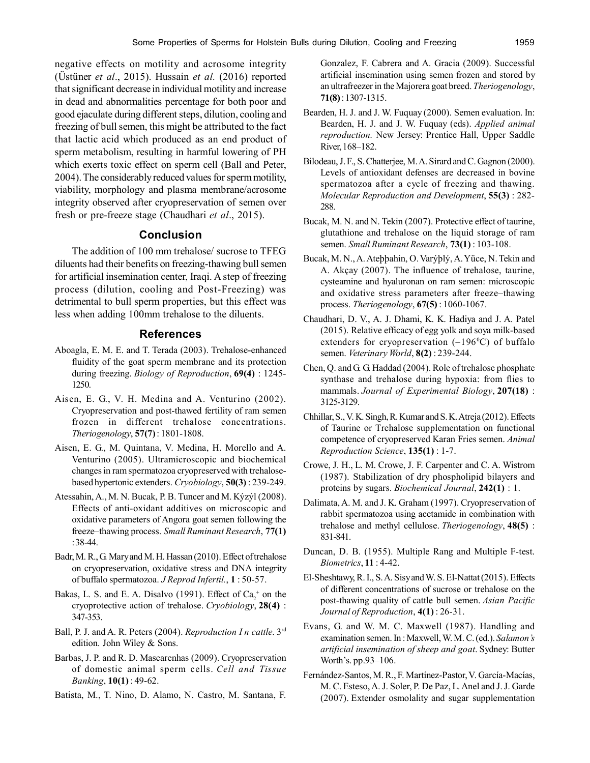negative effects on motility and acrosome integrity (Üstüner *et al*., 2015). Hussain *et al.* (2016) reported that significant decrease in individual motility and increase in dead and abnormalities percentage for both poor and good ejaculate during different steps, dilution, cooling and freezing of bull semen, this might be attributed to the fact that lactic acid which produced as an end product of sperm metabolism, resulting in harmful lowering of PH which exerts toxic effect on sperm cell (Ball and Peter, 2004). The considerably reduced values for sperm motility, viability, morphology and plasma membrane/acrosome integrity observed after cryopreservation of semen over fresh or pre-freeze stage (Chaudhari *et al*., 2015).

# **Conclusion**

The addition of 100 mm trehalose/ sucrose to TFEG diluents had their benefits on freezing-thawing bull semen for artificial insemination center, Iraqi. A step of freezing process (dilution, cooling and Post-Freezing) was detrimental to bull sperm properties, but this effect was less when adding 100mm trehalose to the diluents.

## **References**

- Aboagla, E. M. E. and T. Terada (2003). Trehalose-enhanced fluidity of the goat sperm membrane and its protection during freezing. *Biology of Reproduction*, **69(4)** : 1245- 1250.
- Aisen, E. G., V. H. Medina and A. Venturino (2002). Cryopreservation and post-thawed fertility of ram semen frozen in different trehalose concentrations. *Theriogenology*, **57(7)** : 1801-1808.
- Aisen, E. G., M. Quintana, V. Medina, H. Morello and A. Venturino (2005). Ultramicroscopic and biochemical changes in ram spermatozoa cryopreserved with trehalosebased hypertonic extenders. *Cryobiology*, **50(3)** : 239-249.
- Atessahin, A., M. N. Bucak, P. B. Tuncer and M. Kýzýl (2008). Effects of anti-oxidant additives on microscopic and oxidative parameters of Angora goat semen following the freeze–thawing process. *Small Ruminant Research*, **77(1)** : 38-44.
- Badr, M. R., G. Mary and M. H. Hassan (2010). Effect of trehalose on cryopreservation, oxidative stress and DNA integrity of buffalo spermatozoa. *J Reprod Infertil.*, **1** : 50-57.
- Bakas, L. S. and E. A. Disalvo (1991). Effect of  $Ca_2^+$  on the cryoprotective action of trehalose. *Cryobiology*, **28(4)** : 347-353.
- Ball, P. J. and A. R. Peters (2004). *Reproduction I n cattle*. 3rd edition. John Wiley & Sons.
- Barbas, J. P. and R. D. Mascarenhas (2009). Cryopreservation of domestic animal sperm cells. *Cell and Tissue Banking*, **10(1)** : 49-62.
- Batista, M., T. Nino, D. Alamo, N. Castro, M. Santana, F.

Gonzalez, F. Cabrera and A. Gracia (2009). Successful artificial insemination using semen frozen and stored by an ultrafreezer in the Majorera goat breed. *Theriogenology*, **71(8)** : 1307-1315.

- Bearden, H. J. and J. W. Fuquay (2000). Semen evaluation. In: Bearden, H. J. and J. W. Fuquay (eds). *Applied animal reproduction.* New Jersey: Prentice Hall, Upper Saddle River, 168–182.
- Bilodeau, J. F., S. Chatterjee, M. A. Sirard and C. Gagnon (2000). Levels of antioxidant defenses are decreased in bovine spermatozoa after a cycle of freezing and thawing. *Molecular Reproduction and Development*, **55(3)** : 282- 288.
- Bucak, M. N. and N. Tekin (2007). Protective effect of taurine, glutathione and trehalose on the liquid storage of ram semen. *Small Ruminant Research*, **73(1)** : 103-108.
- Bucak, M. N., A. Ateþþahin, O. Varýþlý, A. Yüce, N. Tekin and A. Akçay (2007). The influence of trehalose, taurine, cysteamine and hyaluronan on ram semen: microscopic and oxidative stress parameters after freeze–thawing process. *Theriogenology*, **67(5)** : 1060-1067.
- Chaudhari, D. V., A. J. Dhami, K. K. Hadiya and J. A. Patel (2015). Relative efficacy of egg yolk and soya milk-based extenders for cryopreservation  $(-196^{\circ}C)$  of buffalo semen. *Veterinary World*, **8(2)** : 239-244.
- Chen, Q. and G. G. Haddad (2004). Role of trehalose phosphate synthase and trehalose during hypoxia: from flies to mammals. *Journal of Experimental Biology*, **207(18)** : 3125-3129.
- Chhillar, S., V. K. Singh, R. Kumar and S. K. Atreja (2012). Effects of Taurine or Trehalose supplementation on functional competence of cryopreserved Karan Fries semen. *Animal Reproduction Science*, **135(1)** : 1-7.
- Crowe, J. H., L. M. Crowe, J. F. Carpenter and C. A. Wistrom (1987). Stabilization of dry phospholipid bilayers and proteins by sugars. *Biochemical Journal*, **242(1)** : 1.
- Dalimata, A. M. and J. K. Graham (1997). Cryopreservation of rabbit spermatozoa using acetamide in combination with trehalose and methyl cellulose. *Theriogenology*, **48(5)** : 831-841.
- Duncan, D. B. (1955). Multiple Rang and Multiple F-test. *Biometrics*, **11** : 4-42.
- El-Sheshtawy, R. I., S. A. Sisy and W. S. El-Nattat (2015). Effects of different concentrations of sucrose or trehalose on the post-thawing quality of cattle bull semen. *Asian Pacific Journal of Reproduction*, **4(1)** : 26-31.
- Evans, G. and W. M. C. Maxwell (1987). Handling and examination semen. In : Maxwell, W. M. C. (ed.). *Salamon's artificial insemination of sheep and goat*. Sydney: Butter Worth's. pp.93–106.
- Fernández-Santos, M. R., F. Martínez-Pastor, V. García-Macías, M. C. Esteso, A. J. Soler, P. De Paz, L. Anel and J. J. Garde (2007). Extender osmolality and sugar supplementation